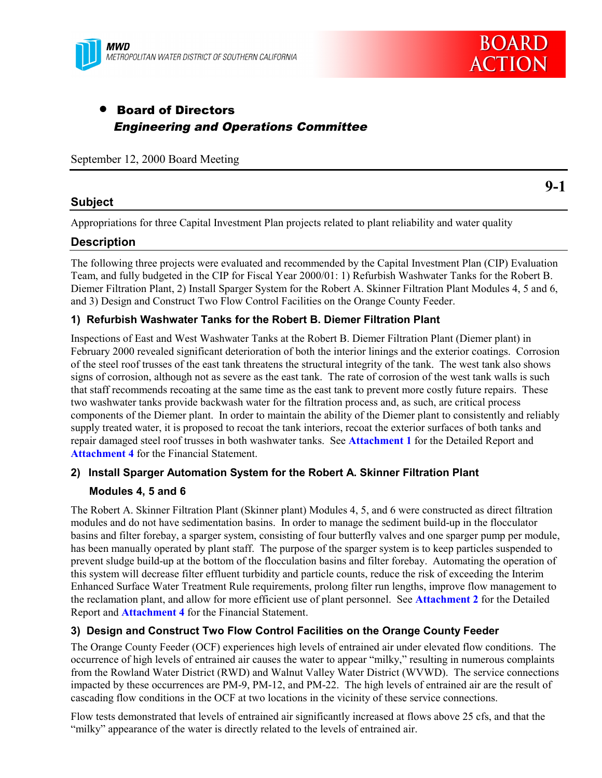

## • Board of Directors Engineering and Operations Committee

September 12, 2000 Board Meeting

#### **Subject**

**9-1**

Appropriations for three Capital Investment Plan projects related to plant reliability and water quality

#### **Description**

The following three projects were evaluated and recommended by the Capital Investment Plan (CIP) Evaluation Team, and fully budgeted in the CIP for Fiscal Year 2000/01: 1) Refurbish Washwater Tanks for the Robert B. Diemer Filtration Plant, 2) Install Sparger System for the Robert A. Skinner Filtration Plant Modules 4, 5 and 6, and 3) Design and Construct Two Flow Control Facilities on the Orange County Feeder.

#### **1) Refurbish Washwater Tanks for the Robert B. Diemer Filtration Plant**

Inspections of East and West Washwater Tanks at the Robert B. Diemer Filtration Plant (Diemer plant) in February 2000 revealed significant deterioration of both the interior linings and the exterior coatings. Corrosion of the steel roof trusses of the east tank threatens the structural integrity of the tank. The west tank also shows signs of corrosion, although not as severe as the east tank. The rate of corrosion of the west tank walls is such that staff recommends recoating at the same time as the east tank to prevent more costly future repairs. These two washwater tanks provide backwash water for the filtration process and, as such, are critical process components of the Diemer plant. In order to maintain the ability of the Diemer plant to consistently and reliably supply treated water, it is proposed to recoat the tank interiors, recoat the exterior surfaces of both tanks and repair damaged steel roof trusses in both washwater tanks. See **Attachment 1** for the Detailed Report and **Attachment 4** for the Financial Statement.

#### **2) Install Sparger Automation System for the Robert A. Skinner Filtration Plant**

#### **Modules 4, 5 and 6**

The Robert A. Skinner Filtration Plant (Skinner plant) Modules 4, 5, and 6 were constructed as direct filtration modules and do not have sedimentation basins. In order to manage the sediment build-up in the flocculator basins and filter forebay, a sparger system, consisting of four butterfly valves and one sparger pump per module, has been manually operated by plant staff. The purpose of the sparger system is to keep particles suspended to prevent sludge build-up at the bottom of the flocculation basins and filter forebay. Automating the operation of this system will decrease filter effluent turbidity and particle counts, reduce the risk of exceeding the Interim Enhanced Surface Water Treatment Rule requirements, prolong filter run lengths, improve flow management to the reclamation plant, and allow for more efficient use of plant personnel. See **Attachment 2** for the Detailed Report and **Attachment 4** for the Financial Statement.

#### **3) Design and Construct Two Flow Control Facilities on the Orange County Feeder**

The Orange County Feeder (OCF) experiences high levels of entrained air under elevated flow conditions. The occurrence of high levels of entrained air causes the water to appear "milky," resulting in numerous complaints from the Rowland Water District (RWD) and Walnut Valley Water District (WVWD). The service connections impacted by these occurrences are PM-9, PM-12, and PM-22. The high levels of entrained air are the result of cascading flow conditions in the OCF at two locations in the vicinity of these service connections.

Flow tests demonstrated that levels of entrained air significantly increased at flows above 25 cfs, and that the "milky" appearance of the water is directly related to the levels of entrained air.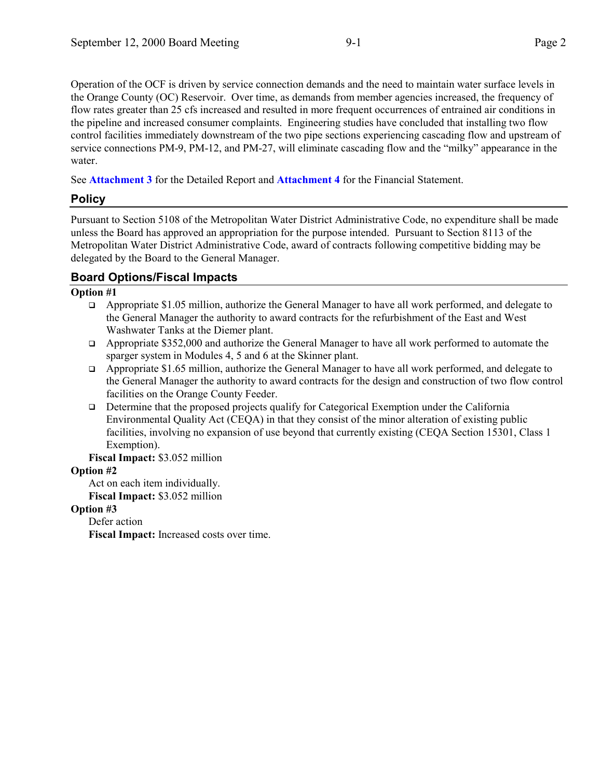Operation of the OCF is driven by service connection demands and the need to maintain water surface levels in the Orange County (OC) Reservoir. Over time, as demands from member agencies increased, the frequency of flow rates greater than 25 cfs increased and resulted in more frequent occurrences of entrained air conditions in the pipeline and increased consumer complaints. Engineering studies have concluded that installing two flow control facilities immediately downstream of the two pipe sections experiencing cascading flow and upstream of service connections PM-9, PM-12, and PM-27, will eliminate cascading flow and the "milky" appearance in the water.

See **Attachment 3** for the Detailed Report and **Attachment 4** for the Financial Statement.

## **Policy**

Pursuant to Section 5108 of the Metropolitan Water District Administrative Code, no expenditure shall be made unless the Board has approved an appropriation for the purpose intended. Pursuant to Section 8113 of the Metropolitan Water District Administrative Code, award of contracts following competitive bidding may be delegated by the Board to the General Manager.

## **Board Options/Fiscal Impacts**

#### **Option #1**

- $\Box$  Appropriate \$1.05 million, authorize the General Manager to have all work performed, and delegate to the General Manager the authority to award contracts for the refurbishment of the East and West Washwater Tanks at the Diemer plant.
- $\Box$  Appropriate \$352,000 and authorize the General Manager to have all work performed to automate the sparger system in Modules 4, 5 and 6 at the Skinner plant.
- $\Box$  Appropriate \$1.65 million, authorize the General Manager to have all work performed, and delegate to the General Manager the authority to award contracts for the design and construction of two flow control facilities on the Orange County Feeder.
- $\Box$  Determine that the proposed projects qualify for Categorical Exemption under the California Environmental Quality Act (CEQA) in that they consist of the minor alteration of existing public facilities, involving no expansion of use beyond that currently existing (CEQA Section 15301, Class 1 Exemption).

#### **Fiscal Impact:** \$3.052 million

#### **Option #2**

Act on each item individually. **Fiscal Impact:** \$3.052 million

#### **Option #3**

Defer action

**Fiscal Impact:** Increased costs over time.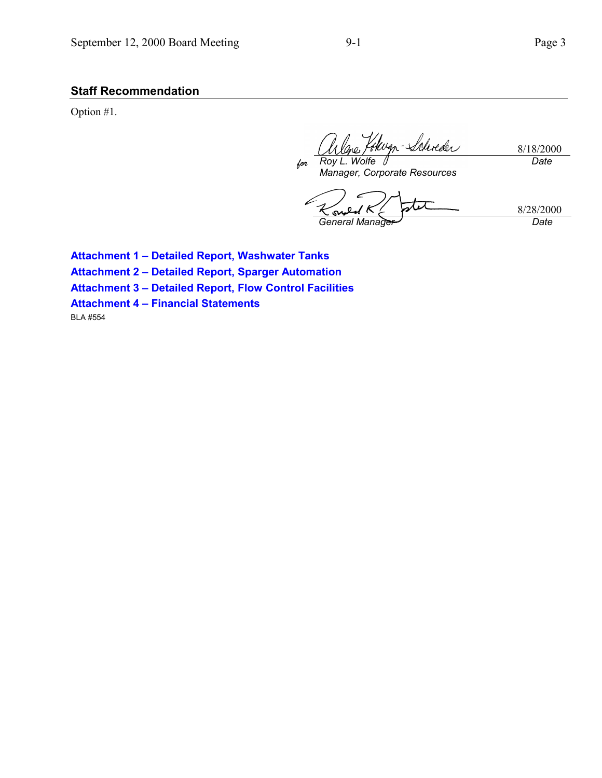## **Staff Recommendation**

Option #1.

Wyn-Schreder 8/18/2000 *for Roy L. Wolfe Date*

*Manager, Corporate Resources*

ارا 8/28/2000 *General Manager Date*

**Attachment 1 – Detailed Report, Washwater Tanks Attachment 2 – Detailed Report, Sparger Automation Attachment 3 – Detailed Report, Flow Control Facilities Attachment 4 – Financial Statements** BLA #554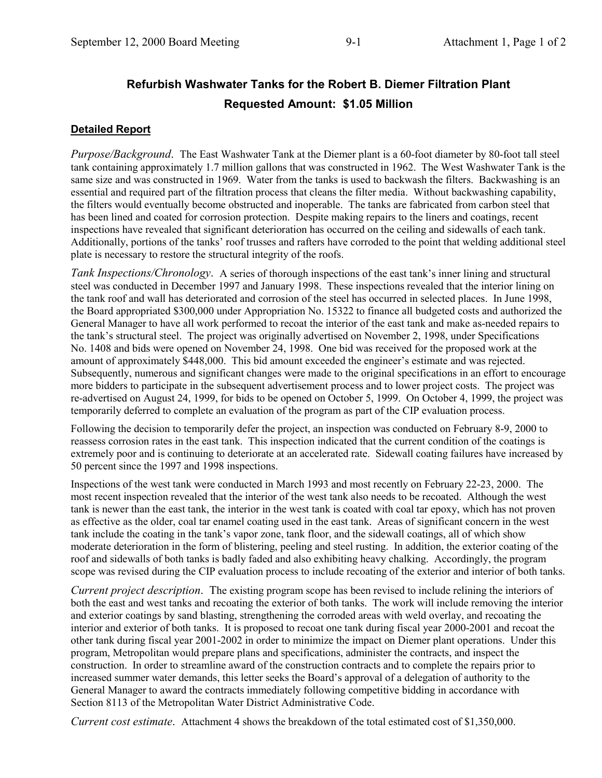# **Refurbish Washwater Tanks for the Robert B. Diemer Filtration Plant Requested Amount: \$1.05 Million**

### **Detailed Report**

*Purpose/Background*. The East Washwater Tank at the Diemer plant is a 60-foot diameter by 80-foot tall steel tank containing approximately 1.7 million gallons that was constructed in 1962. The West Washwater Tank is the same size and was constructed in 1969. Water from the tanks is used to backwash the filters. Backwashing is an essential and required part of the filtration process that cleans the filter media. Without backwashing capability, the filters would eventually become obstructed and inoperable. The tanks are fabricated from carbon steel that has been lined and coated for corrosion protection. Despite making repairs to the liners and coatings, recent inspections have revealed that significant deterioration has occurred on the ceiling and sidewalls of each tank. Additionally, portions of the tanks' roof trusses and rafters have corroded to the point that welding additional steel plate is necessary to restore the structural integrity of the roofs.

*Tank Inspections/Chronology*. A series of thorough inspections of the east tank's inner lining and structural steel was conducted in December 1997 and January 1998. These inspections revealed that the interior lining on the tank roof and wall has deteriorated and corrosion of the steel has occurred in selected places. In June 1998, the Board appropriated \$300,000 under Appropriation No. 15322 to finance all budgeted costs and authorized the General Manager to have all work performed to recoat the interior of the east tank and make as-needed repairs to the tank's structural steel. The project was originally advertised on November 2, 1998, under Specifications No. 1408 and bids were opened on November 24, 1998. One bid was received for the proposed work at the amount of approximately \$448,000. This bid amount exceeded the engineer's estimate and was rejected. Subsequently, numerous and significant changes were made to the original specifications in an effort to encourage more bidders to participate in the subsequent advertisement process and to lower project costs. The project was re-advertised on August 24, 1999, for bids to be opened on October 5, 1999. On October 4, 1999, the project was temporarily deferred to complete an evaluation of the program as part of the CIP evaluation process.

Following the decision to temporarily defer the project, an inspection was conducted on February 8-9, 2000 to reassess corrosion rates in the east tank. This inspection indicated that the current condition of the coatings is extremely poor and is continuing to deteriorate at an accelerated rate. Sidewall coating failures have increased by 50 percent since the 1997 and 1998 inspections.

Inspections of the west tank were conducted in March 1993 and most recently on February 22-23, 2000. The most recent inspection revealed that the interior of the west tank also needs to be recoated. Although the west tank is newer than the east tank, the interior in the west tank is coated with coal tar epoxy, which has not proven as effective as the older, coal tar enamel coating used in the east tank. Areas of significant concern in the west tank include the coating in the tank's vapor zone, tank floor, and the sidewall coatings, all of which show moderate deterioration in the form of blistering, peeling and steel rusting. In addition, the exterior coating of the roof and sidewalls of both tanks is badly faded and also exhibiting heavy chalking. Accordingly, the program scope was revised during the CIP evaluation process to include recoating of the exterior and interior of both tanks.

*Current project description*. The existing program scope has been revised to include relining the interiors of both the east and west tanks and recoating the exterior of both tanks. The work will include removing the interior and exterior coatings by sand blasting, strengthening the corroded areas with weld overlay, and recoating the interior and exterior of both tanks. It is proposed to recoat one tank during fiscal year 2000-2001 and recoat the other tank during fiscal year 2001-2002 in order to minimize the impact on Diemer plant operations. Under this program, Metropolitan would prepare plans and specifications, administer the contracts, and inspect the construction. In order to streamline award of the construction contracts and to complete the repairs prior to increased summer water demands, this letter seeks the Board's approval of a delegation of authority to the General Manager to award the contracts immediately following competitive bidding in accordance with Section 8113 of the Metropolitan Water District Administrative Code.

*Current cost estimate*. Attachment 4 shows the breakdown of the total estimated cost of \$1,350,000.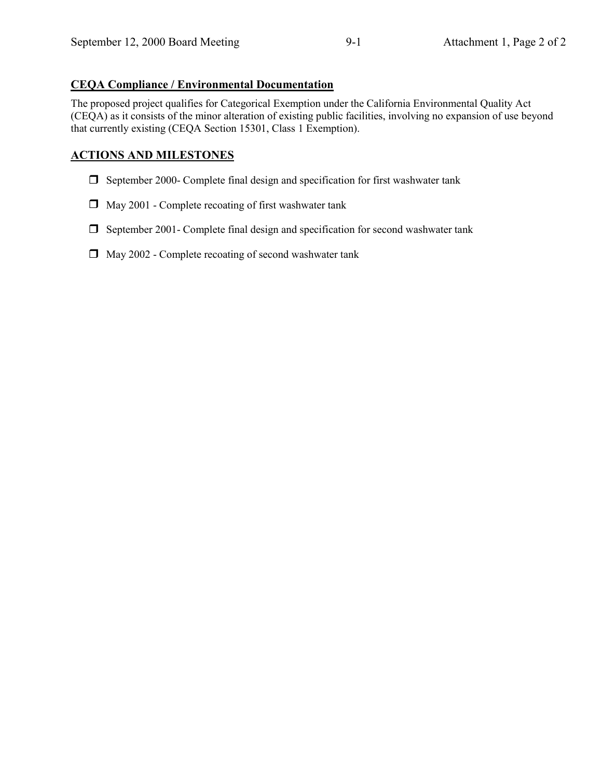### **CEQA Compliance / Environmental Documentation**

The proposed project qualifies for Categorical Exemption under the California Environmental Quality Act (CEQA) as it consists of the minor alteration of existing public facilities, involving no expansion of use beyond that currently existing (CEQA Section 15301, Class 1 Exemption).

## **ACTIONS AND MILESTONES**

- $\Box$  September 2000- Complete final design and specification for first washwater tank
- $\Box$  May 2001 Complete recoating of first washwater tank
- $\Box$  September 2001- Complete final design and specification for second washwater tank
- $\Box$  May 2002 Complete recoating of second washwater tank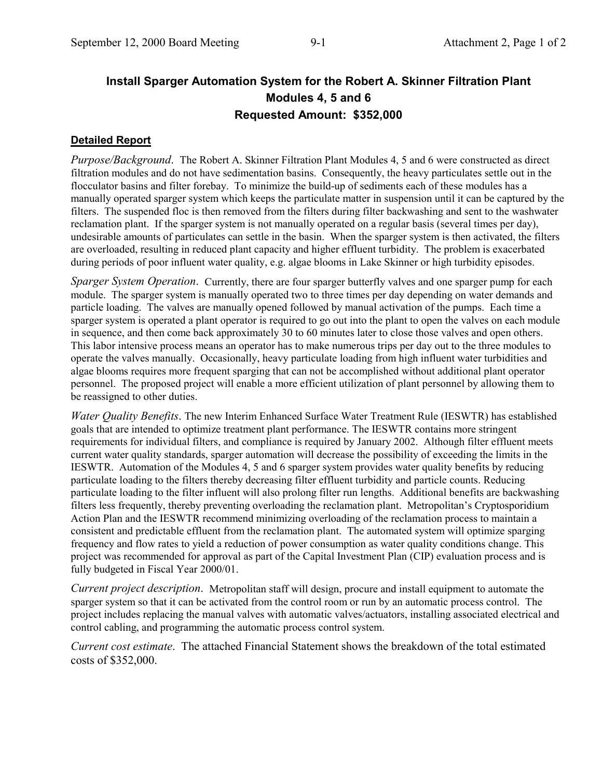## **Install Sparger Automation System for the Robert A. Skinner Filtration Plant Modules 4, 5 and 6 Requested Amount: \$352,000**

#### **Detailed Report**

*Purpose/Background*. The Robert A. Skinner Filtration Plant Modules 4, 5 and 6 were constructed as direct filtration modules and do not have sedimentation basins. Consequently, the heavy particulates settle out in the flocculator basins and filter forebay. To minimize the build-up of sediments each of these modules has a manually operated sparger system which keeps the particulate matter in suspension until it can be captured by the filters. The suspended floc is then removed from the filters during filter backwashing and sent to the washwater reclamation plant. If the sparger system is not manually operated on a regular basis (several times per day), undesirable amounts of particulates can settle in the basin. When the sparger system is then activated, the filters are overloaded, resulting in reduced plant capacity and higher effluent turbidity. The problem is exacerbated during periods of poor influent water quality, e.g. algae blooms in Lake Skinner or high turbidity episodes.

*Sparger System Operation*. Currently, there are four sparger butterfly valves and one sparger pump for each module. The sparger system is manually operated two to three times per day depending on water demands and particle loading. The valves are manually opened followed by manual activation of the pumps. Each time a sparger system is operated a plant operator is required to go out into the plant to open the valves on each module in sequence, and then come back approximately 30 to 60 minutes later to close those valves and open others. This labor intensive process means an operator has to make numerous trips per day out to the three modules to operate the valves manually. Occasionally, heavy particulate loading from high influent water turbidities and algae blooms requires more frequent sparging that can not be accomplished without additional plant operator personnel. The proposed project will enable a more efficient utilization of plant personnel by allowing them to be reassigned to other duties.

*Water Quality Benefits*. The new Interim Enhanced Surface Water Treatment Rule (IESWTR) has established goals that are intended to optimize treatment plant performance. The IESWTR contains more stringent requirements for individual filters, and compliance is required by January 2002. Although filter effluent meets current water quality standards, sparger automation will decrease the possibility of exceeding the limits in the IESWTR. Automation of the Modules 4, 5 and 6 sparger system provides water quality benefits by reducing particulate loading to the filters thereby decreasing filter effluent turbidity and particle counts. Reducing particulate loading to the filter influent will also prolong filter run lengths. Additional benefits are backwashing filters less frequently, thereby preventing overloading the reclamation plant. Metropolitan's Cryptosporidium Action Plan and the IESWTR recommend minimizing overloading of the reclamation process to maintain a consistent and predictable effluent from the reclamation plant. The automated system will optimize sparging frequency and flow rates to yield a reduction of power consumption as water quality conditions change. This project was recommended for approval as part of the Capital Investment Plan (CIP) evaluation process and is fully budgeted in Fiscal Year 2000/01.

*Current project description*. Metropolitan staff will design, procure and install equipment to automate the sparger system so that it can be activated from the control room or run by an automatic process control. The project includes replacing the manual valves with automatic valves/actuators, installing associated electrical and control cabling, and programming the automatic process control system.

*Current cost estimate*. The attached Financial Statement shows the breakdown of the total estimated costs of \$352,000.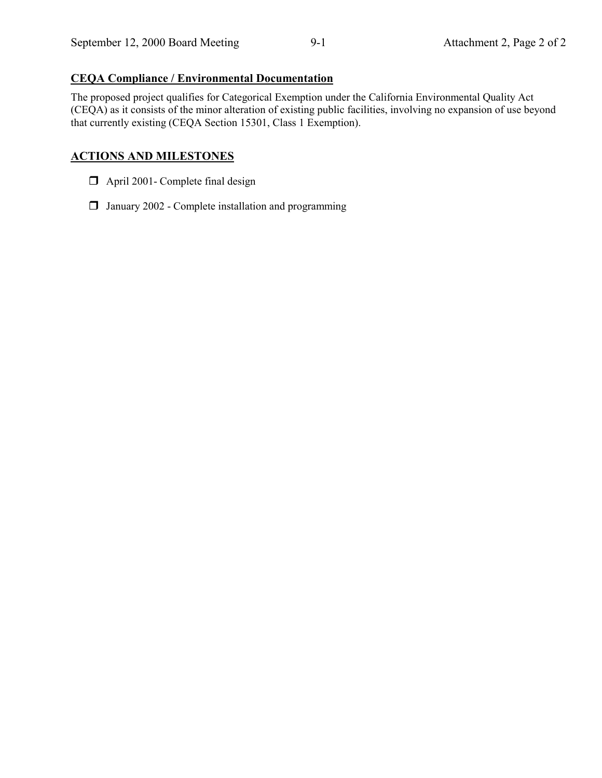#### **CEQA Compliance / Environmental Documentation**

The proposed project qualifies for Categorical Exemption under the California Environmental Quality Act (CEQA) as it consists of the minor alteration of existing public facilities, involving no expansion of use beyond that currently existing (CEQA Section 15301, Class 1 Exemption).

### **ACTIONS AND MILESTONES**

- $\Box$  April 2001- Complete final design
- $\Box$  January 2002 Complete installation and programming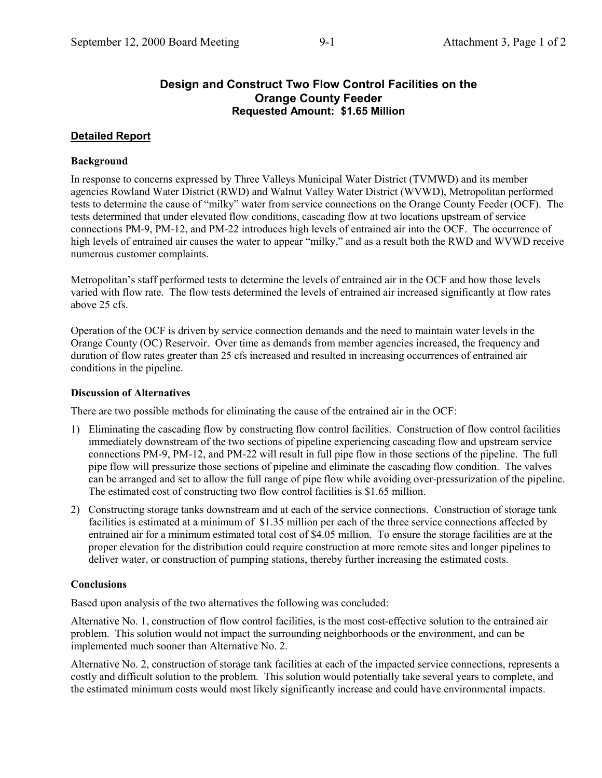## **Design and Construct Two Flow Control Facilities on the Orange County Feeder Requested Amount: \$1.65 Million**

## **Detailed Report**

## **Background**

In response to concerns expressed by Three Valleys Municipal Water District (TVMWD) and its member agencies Rowland Water District (RWD) and Walnut Valley Water District (WVWD), Metropolitan performed tests to determine the cause of "milky" water from service connections on the Orange County Feeder (OCF). The tests determined that under elevated flow conditions, cascading flow at two locations upstream of service connections PM-9, PM-12, and PM-22 introduces high levels of entrained air into the OCF. The occurrence of high levels of entrained air causes the water to appear "milky," and as a result both the RWD and WVWD receive numerous customer complaints.

Metropolitan's staff performed tests to determine the levels of entrained air in the OCF and how those levels varied with flow rate. The flow tests determined the levels of entrained air increased significantly at flow rates above 25 cfs.

Operation of the OCF is driven by service connection demands and the need to maintain water levels in the Orange County (OC) Reservoir. Over time as demands from member agencies increased, the frequency and duration of flow rates greater than 25 cfs increased and resulted in increasing occurrences of entrained air conditions in the pipeline.

#### **Discussion of Alternatives**

There are two possible methods for eliminating the cause of the entrained air in the OCF:

- 1) Eliminating the cascading flow by constructing flow control facilities. Construction of flow control facilities immediately downstream of the two sections of pipeline experiencing cascading flow and upstream service connections PM-9, PM-12, and PM-22 will result in full pipe flow in those sections of the pipeline. The full pipe flow will pressurize those sections of pipeline and eliminate the cascading flow condition. The valves can be arranged and set to allow the full range of pipe flow while avoiding over-pressurization of the pipeline. The estimated cost of constructing two flow control facilities is \$1.65 million.
- 2) Constructing storage tanks downstream and at each of the service connections. Construction of storage tank facilities is estimated at a minimum of \$1.35 million per each of the three service connections affected by entrained air for a minimum estimated total cost of \$4.05 million. To ensure the storage facilities are at the proper elevation for the distribution could require construction at more remote sites and longer pipelines to deliver water, or construction of pumping stations, thereby further increasing the estimated costs.

## **Conclusions**

Based upon analysis of the two alternatives the following was concluded:

Alternative No. 1, construction of flow control facilities, is the most cost-effective solution to the entrained air problem. This solution would not impact the surrounding neighborhoods or the environment, and can be implemented much sooner than Alternative No. 2.

Alternative No. 2, construction of storage tank facilities at each of the impacted service connections, represents a costly and difficult solution to the problem. This solution would potentially take several years to complete, and the estimated minimum costs would most likely significantly increase and could have environmental impacts.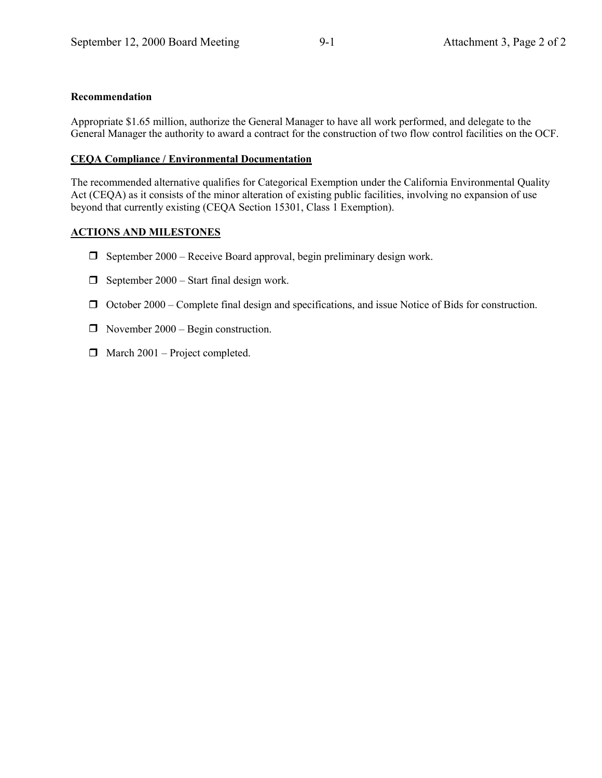#### **Recommendation**

Appropriate \$1.65 million, authorize the General Manager to have all work performed, and delegate to the General Manager the authority to award a contract for the construction of two flow control facilities on the OCF.

#### **CEQA Compliance / Environmental Documentation**

The recommended alternative qualifies for Categorical Exemption under the California Environmental Quality Act (CEQA) as it consists of the minor alteration of existing public facilities, involving no expansion of use beyond that currently existing (CEQA Section 15301, Class 1 Exemption).

#### **ACTIONS AND MILESTONES**

- $\Box$  September 2000 Receive Board approval, begin preliminary design work.
- $\Box$  September 2000 Start final design work.
- $\Box$  October 2000 Complete final design and specifications, and issue Notice of Bids for construction.
- $\Box$  November 2000 Begin construction.
- $\Box$  March 2001 Project completed.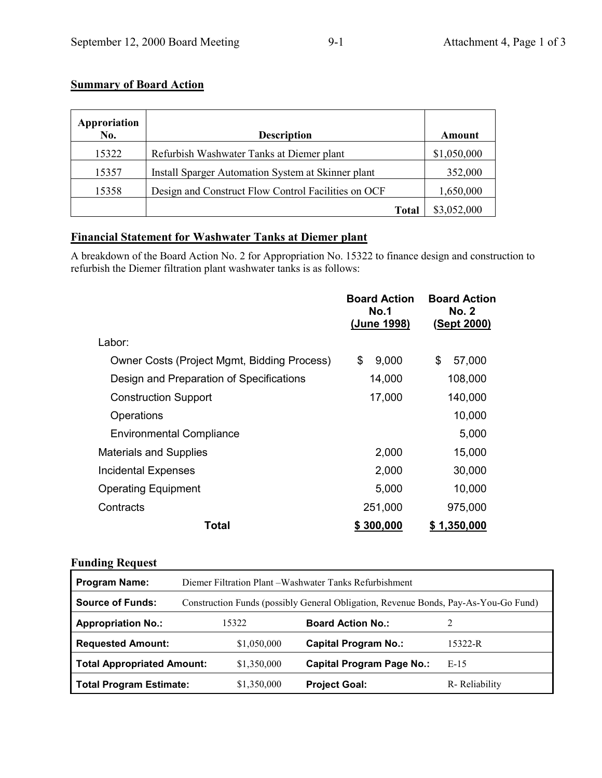## **Summary of Board Action**

| Approriation<br>No. | <b>Description</b>                                  | Amount      |
|---------------------|-----------------------------------------------------|-------------|
| 15322               | Refurbish Washwater Tanks at Diemer plant           | \$1,050,000 |
| 15357               | Install Sparger Automation System at Skinner plant  | 352,000     |
| 15358               | Design and Construct Flow Control Facilities on OCF | 1,650,000   |
|                     | <b>Total</b>                                        | \$3,052,000 |

## **Financial Statement for Washwater Tanks at Diemer plant**

A breakdown of the Board Action No. 2 for Appropriation No. 15322 to finance design and construction to refurbish the Diemer filtration plant washwater tanks is as follows:

|                                             | <b>Board Action</b><br>No.1<br>(June 1998) | <b>Board Action</b><br><b>No. 2</b><br>(Sept 2000) |
|---------------------------------------------|--------------------------------------------|----------------------------------------------------|
| Labor:                                      |                                            |                                                    |
| Owner Costs (Project Mgmt, Bidding Process) | \$<br>9,000                                | \$<br>57,000                                       |
| Design and Preparation of Specifications    | 14,000                                     | 108,000                                            |
| <b>Construction Support</b>                 | 17,000                                     | 140,000                                            |
| Operations                                  |                                            | 10,000                                             |
| <b>Environmental Compliance</b>             |                                            | 5,000                                              |
| <b>Materials and Supplies</b>               | 2,000                                      | 15,000                                             |
| <b>Incidental Expenses</b>                  | 2,000                                      | 30,000                                             |
| <b>Operating Equipment</b>                  | 5,000                                      | 10,000                                             |
| Contracts                                   | 251,000                                    | 975,000                                            |
| Total                                       | \$300,000                                  | \$1,350,000                                        |

#### **Funding Request**

| <b>Program Name:</b>              | Diemer Filtration Plant – Washwater Tanks Refurbishment                             |                                  |               |  |  |
|-----------------------------------|-------------------------------------------------------------------------------------|----------------------------------|---------------|--|--|
| <b>Source of Funds:</b>           | Construction Funds (possibly General Obligation, Revenue Bonds, Pay-As-You-Go Fund) |                                  |               |  |  |
| <b>Appropriation No.:</b>         | 15322                                                                               | <b>Board Action No.:</b>         |               |  |  |
| <b>Requested Amount:</b>          | \$1,050,000                                                                         | <b>Capital Program No.:</b>      | 15322-R       |  |  |
| <b>Total Appropriated Amount:</b> | \$1,350,000                                                                         | <b>Capital Program Page No.:</b> | $E-15$        |  |  |
| Total Program Estimate:           | \$1,350,000                                                                         | <b>Project Goal:</b>             | R-Reliability |  |  |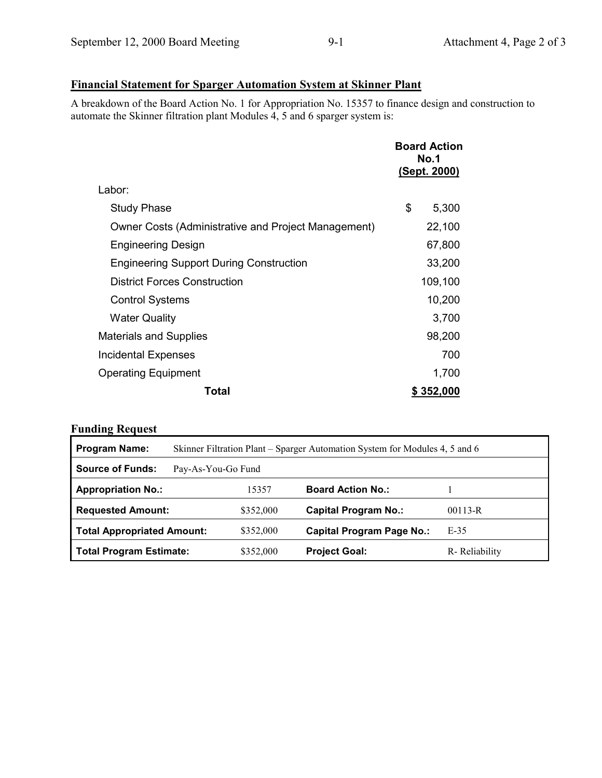## **Financial Statement for Sparger Automation System at Skinner Plant**

A breakdown of the Board Action No. 1 for Appropriation No. 15357 to finance design and construction to automate the Skinner filtration plant Modules  $\frac{1}{4}$ , 5 and 6 sparger system is:

|                                                     |    | <b>Board Action</b><br><b>No.1</b><br>(Sept. 2000) |  |
|-----------------------------------------------------|----|----------------------------------------------------|--|
| Labor:                                              |    |                                                    |  |
| <b>Study Phase</b>                                  | \$ | 5,300                                              |  |
| Owner Costs (Administrative and Project Management) |    | 22,100                                             |  |
| <b>Engineering Design</b>                           |    | 67,800                                             |  |
| <b>Engineering Support During Construction</b>      |    | 33,200                                             |  |
| <b>District Forces Construction</b>                 |    | 109,100                                            |  |
| <b>Control Systems</b>                              |    | 10,200                                             |  |
| <b>Water Quality</b>                                |    | 3,700                                              |  |
| <b>Materials and Supplies</b>                       |    | 98,200                                             |  |
| Incidental Expenses                                 |    | 700                                                |  |
| <b>Operating Equipment</b>                          |    | 1,700                                              |  |
| Total                                               |    | \$352,000                                          |  |

## **Funding Request**

| <b>Program Name:</b>              | Skinner Filtration Plant – Sparger Automation System for Modules 4, 5 and 6 |           |                                  |               |  |
|-----------------------------------|-----------------------------------------------------------------------------|-----------|----------------------------------|---------------|--|
| <b>Source of Funds:</b>           | Pay-As-You-Go Fund                                                          |           |                                  |               |  |
| <b>Appropriation No.:</b>         |                                                                             | 15357     | <b>Board Action No.:</b>         |               |  |
| <b>Requested Amount:</b>          |                                                                             | \$352,000 | <b>Capital Program No.:</b>      | $00113 - R$   |  |
| <b>Total Appropriated Amount:</b> |                                                                             | \$352,000 | <b>Capital Program Page No.:</b> | E-35          |  |
| Total Program Estimate:           |                                                                             | \$352,000 | <b>Project Goal:</b>             | R-Reliability |  |